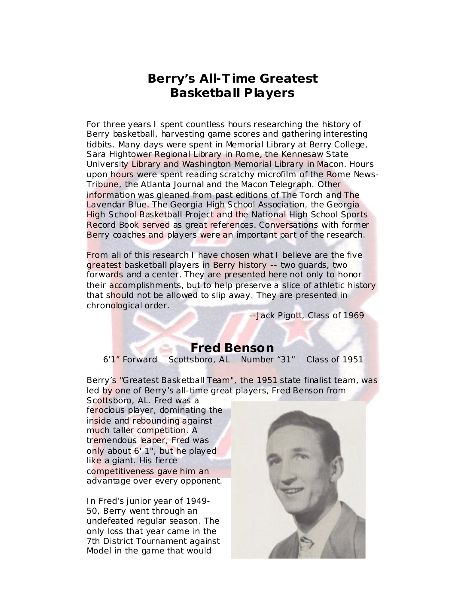# **Berry's All-T ime Greatest Basketball Players**

For three years I spent countless hours researching the history of Berry basketball, harvesting game scores and gathering interesting tidbits. Many days were spent in Memorial Library at Berry College, Sara Hightower Regional Library in Rome, the Kennesaw State University Library and Washington Memorial Library in Macon. Hours upon hours were spent reading scratchy microfilm of the *Rome News-Tribune,* the *Atlanta Journal* and the *Macon Telegraph*. Other information was gleaned from past editions of *The Torch* and *The Lavendar Blue*. The Georgia High School Association, the Georgia High School Basketball Project and the *National High School Sports Record Book* served as great references. Conversations with former Berry coaches and players were an important part of the research.

From all of this research I have chosen what I believe are the five greatest basketball players in Berry history -- two guards, two forwards and a center. They are presented here not only to honor their accomplishments, but to help preserve a slice of athletic history that should not be allowed to slip away. They are presented in chronological order.

--*Jack Pigott, Class of 1969*

## **Fred Benson**

*6'1" Forward Scottsboro, AL Number "31" Class of 1951*

Berry's "Greatest Basketball Team", the 1951 state finalist team, was led by one of Berry's all-time great players, Fred Benson from

Scottsboro, AL. Fred was a ferocious player, dominating the inside and rebounding against much taller competition. A tremendous leaper, Fred was only about 6' 1", but he played like a giant. His fierce competitiveness gave him an advantage over every opponent.

In Fred's junior year of 1949- 50, Berry went through an undefeated regular season. The only loss that year came in the 7th District Tournament against Model in the game that would

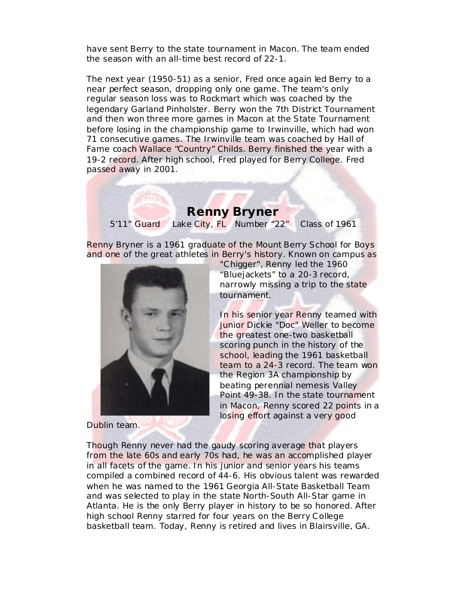have sent Berry to the state tournament in Macon. The team ended the season with an all-time best record of 22-1.

The next year (1950-51) as a senior, Fred once again led Berry to a near perfect season, dropping only one game. The team's only regular season loss was to Rockmart which was coached by the legendary Garland Pinholster. Berry won the 7th District Tournament and then won three more games in Macon at the State Tournament before losing in the championship game to Irwinville, which had won 71 consecutive games. The Irwinville team was coached by Hall of Fame coach Wallace "Country" Childs. Berry finished the year with a 19-2 record. After high school, Fred played for Berry College. Fred passed away in 2001.

### **Renny Bryner**

*5'11" Guard Lake City, FL Number "22" Class of 1961*

Renny Bryner is a 1961 graduate of the Mount Berry School for Boys and one of the great athletes in Berry's history. Known on campus as



Dublin team.

"Chigger", Renny led the 1960 "Bluejackets" to a 20-3 record, narrowly missing a trip to the state tournament.

In his senior year Renny teamed with junior Dickie "Doc" Weller to become the greatest one-two basketball scoring punch in the history of the school, leading the 1961 basketball team to a 24-3 record. The team won the Region 3A championship by beating perennial nemesis Valley Point 49-38. In the state tournament in Macon, Renny scored 22 points in a losing effort against a very good

Though Renny never had the gaudy scoring average that players from the late 60s and early 70s had, he was an accomplished player in all facets of the game. In his junior and senior years his teams compiled a combined record of 44-6. His obvious talent was rewarded when he was named to the 1961 Georgia All-State Basketball Team and was selected to play in the state North-South All-Star game in Atlanta. He is the only Berry player in history to be so honored. After high school Renny starred for four years on the Berry College basketball team. Today, Renny is retired and lives in Blairsville, GA.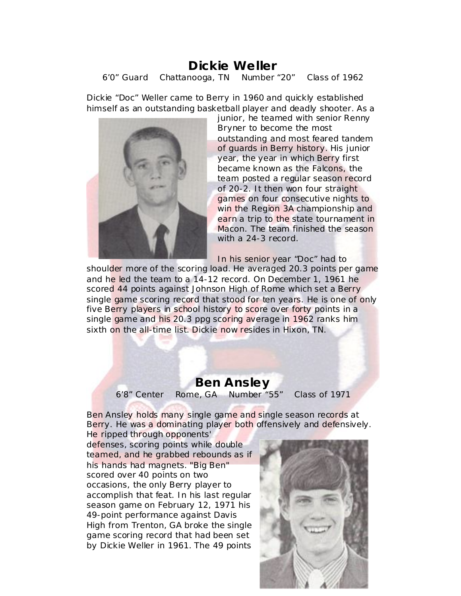#### **Dickie We ller** *6'0" Guard Chattanooga, TN Number "20" Class of 1962*

Dickie "Doc" Weller came to Berry in 1960 and quickly established himself as an outstanding basketball player and deadly shooter. As a



junior, he teamed with senior Renny Bryner to become the most outstanding and most feared tandem of guards in Berry history. His junior year, the year in which Berry first became known as the Falcons, the team posted a regular season record of 20-2. It then won four straight games on four consecutive nights to win the Region 3A championship and earn a trip to the state tournament in Macon. The team finished the season with a 24-3 record.

In his senior year "Doc" had to

shoulder more of the scoring load. He averaged 20.3 points per game and he led the team to a 14-12 record. On December 1, 1961 he scored 44 points against Johnson High of Rome which set a Berry single game scoring record that stood for ten years. He is one of only five Berry players in school history to score over forty points in a single game and his 20.3 ppg scoring average in 1962 ranks him sixth on the all-time list. Dickie now resides in Hixon, TN.

#### **Ben Ansley** *6'8" Center Rome, GA Number "55" Class of 1971*

Ben Ansley holds many single game and single season records at Berry. He was a dominating player both offensively and defensively.

He ripped through opponents' defenses, scoring points while double teamed, and he grabbed rebounds as if his hands had magnets. "Big Ben" scored over 40 points on two occasions, the only Berry player to accomplish that feat. In his last regular season game on February 12, 1971 his 49-point performance against Davis High from Trenton, GA broke the single game scoring record that had been set by Dickie Weller in 1961. The 49 points

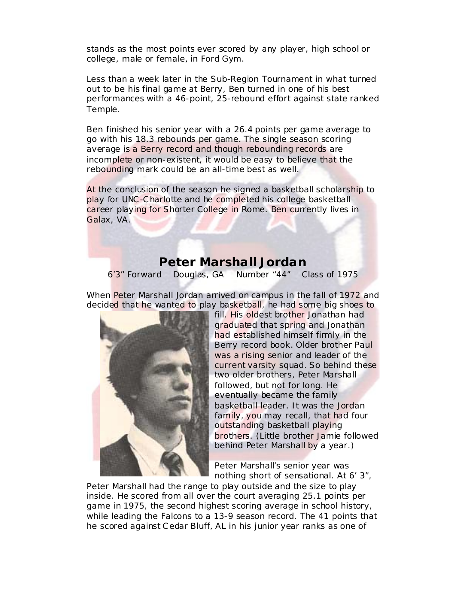stands as the most points ever scored by any player, high school or college, male or female, in Ford Gym.

Less than a week later in the Sub-Region Tournament in what turned out to be his final game at Berry, Ben turned in one of his best performances with a 46-point, 25-rebound effort against state ranked Temple.

Ben finished his senior year with a 26.4 points per game average to go with his 18.3 rebounds per game. The single season scoring average is a Berry record and though rebounding records are incomplete or non-existent, it would be easy to believe that the rebounding mark could be an all-time best as well.

At the conclusion of the season he signed a basketball scholarship to play for UNC-Charlotte and he completed his college basketball career playing for Shorter College in Rome. Ben currently lives in Galax, VA.

#### **Peter Marshall Jordan**

*6'3" Forward Douglas, GA Number "44" Class of 1975*

When Peter Marshall Jordan arrived on campus in the fall of 1972 and decided that he wanted to play basketball, he had some big shoes to



fill. His oldest brother Jonathan had graduated that spring and Jonathan had established himself firmly in the Berry record book. Older brother Paul was a rising senior and leader of the current varsity squad. So behind these two older brothers, Peter Marshall followed, but not for long. He eventually became the family basketball leader. It was the Jordan family, you may recall, that had four outstanding basketball playing brothers. (Little brother Jamie followed behind Peter Marshall by a year.)

Peter Marshall's senior year was nothing short of sensational. At 6' 3",

Peter Marshall had the range to play outside and the size to play inside. He scored from all over the court averaging 25.1 points per game in 1975, the second highest scoring average in school history, while leading the Falcons to a 13-9 season record. The 41 points that he scored against Cedar Bluff, AL in his junior year ranks as one of